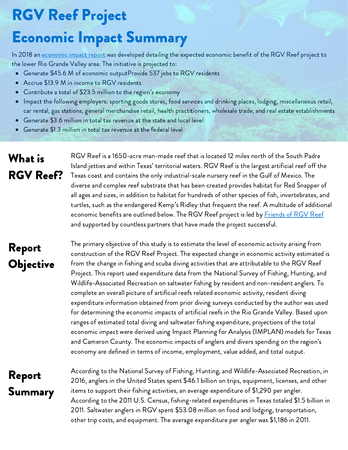## RGV Reef Project

# Economic Impact Summary

In 2018 an [economic](https://texanbynature.org/wp-content/uploads/2019/07/Appendix-B-Artificial-Reef-Project-SPI-study-6-2.pdf) impact report was developed detailing the expected economic benefit of the RGV Reef project to the lower Rio Grande Valley area. The initiative is projected to:

- Generate \$45.6 M of economic outputProvide 537 jobs to RGV residents
- Accrue \$13.9 M in income to RGV residents  $\bullet$
- Contribute a total of \$23.5 million to the region's economy
- Impact the following employers: sporting goods stores, food services and drinking places, lodging, miscellaneous retail, car rental, gas stations, general merchandise retail, health practitioners, wholesale trade, and real estate establishments
- Generate \$3.6 million in total tax revenue at the state and local level
- Generate \$1.3 million in total tax revenue at the federal level

#### What is RGV Reef?

RGV Reef is a 1650-acre man-made reef that is located 12 miles north of the South Padre Island jetties and within Texas' territorial waters. RGV Reef is the largest artificial reef off the Texas coast and contains the only industrial-scale nursery reef in the Gulf of Mexico. The diverse and complex reef substrate that has been created provides habitat for Red Snapper of all ages and sizes, in addition to habitat for hundreds of other species of fish, invertebrates, and turtles, such as the endangered Kemp's Ridley that frequent the reef. A multitude of additional economic benefits are outlined below. The RGV Reef project is led by **[Friends](http://www.rgvreef.com/) of RGV Reef** and supported by countless partners that have made the project successful.

### Report **Objective**

The primary objective of this study is to estimate the level of economic activity arising from construction of the RGV Reef Project. The expected change in economic activity estimated is from the change in fishing and scuba diving activities that are attributable to the RGV Reef Project. This report used expenditure data from the National Survey of Fishing, Hunting, and Wildlife-Associated Recreation on saltwater fishing by resident and non-resident anglers. To complete an overall picture of artificial reefs related economic activity, resident diving expenditure information obtained from prior diving surveys conducted by the author was used for determining the economic impacts of artificial reefs in the Rio Grande Valley. Based upon ranges of estimated total diving and saltwater fishing expenditure, projections of the total economic impact were derived using Impact Planning for Analysis (IMPLAN) models for Texas and Cameron County. The economic impacts of anglers and divers spending on the region's economy are defined in terms of income, employment, value added, and total output.

### Report Summary

According to the National Survey of Fishing, Hunting, and Wildlife-Associated Recreation, in 2016, anglers in the United States spent \$46.1 billion on trips, equipment, licenses, and other items to support their fishing activities, an average expenditure of \$1,290 per angler. According to the 2011 U.S. Census, fishing-related expenditures in Texas totaled \$1.5 billion in 2011. Saltwater anglers in RGV spent \$53.08 million on food and lodging, transportation, other trip costs, and equipment. The average expenditure per angler was \$1,186 in 2011.